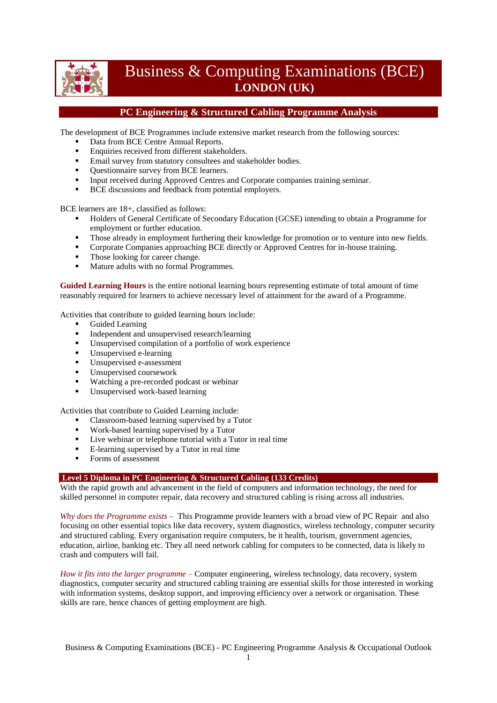

# Business & Computing Examinations (BCE) **LONDON (UK)**

## **PC Engineering & Structured Cabling Programme Analysis**

The development of BCE Programmes include extensive market research from the following sources:

- Data from BCE Centre Annual Reports.
- **Enquiries received from different stakeholders.**
- **Email survey from statutory consultees and stakeholder bodies.**
- Ouestionnaire survey from BCE learners.
- Input received during Approved Centres and Corporate companies training seminar.
- **BCE** discussions and feedback from potential employers.

BCE learners are 18+, classified as follows:

- Holders of General Certificate of Secondary Education (GCSE) intending to obtain a Programme for employment or further education.
- Those already in employment furthering their knowledge for promotion or to venture into new fields.
- **Corporate Companies approaching BCE directly or Approved Centres for in-house training.**
- Those looking for career change.
- Mature adults with no formal Programmes.

**Guided Learning Hours** is the entire notional learning hours representing estimate of total amount of time reasonably required for learners to achieve necessary level of attainment for the award of a Programme.

Activities that contribute to guided learning hours include:

- Guided Learning
- Independent and unsupervised research/learning<br>Insupervised compilation of a portfolio of work
- Unsupervised compilation of a portfolio of work experience<br> $\blacksquare$  Unsupervised a learning
- Unsupervised e-learning
- Unsupervised e-assessment
- Unsupervised coursework
- Watching a pre-recorded podcast or webinar
- Unsupervised work-based learning

Activities that contribute to Guided Learning include:

- Classroom-based learning supervised by a Tutor
- Work-based learning supervised by a Tutor
- Live webinar or telephone tutorial with a Tutor in real time
- E-learning supervised by a Tutor in real time
- Forms of assessment

### **Level 5 Diploma in PC Engineering & Structured Cabling (133 Credits)**

With the rapid growth and advancement in the field of computers and information technology, the need for skilled personnel in computer repair, data recovery and structured cabling is rising across all industries.

*Why does the Programme exists* – This Programme provide learners with a broad view of PC Repair and also focusing on other essential topics like data recovery, system diagnostics, wireless technology, computer security and structured cabling. Every organisation require computers, be it health, tourism, government agencies, education, airline, banking etc. They all need network cabling for computers to be connected, data is likely to crash and computers will fail.

*How it fits into the larger programme* – Computer engineering, wireless technology, data recovery, system diagnostics, computer security and structured cabling training are essential skills for those interested in working with information systems, desktop support, and improving efficiency over a network or organisation. These skills are rare, hence chances of getting employment are high.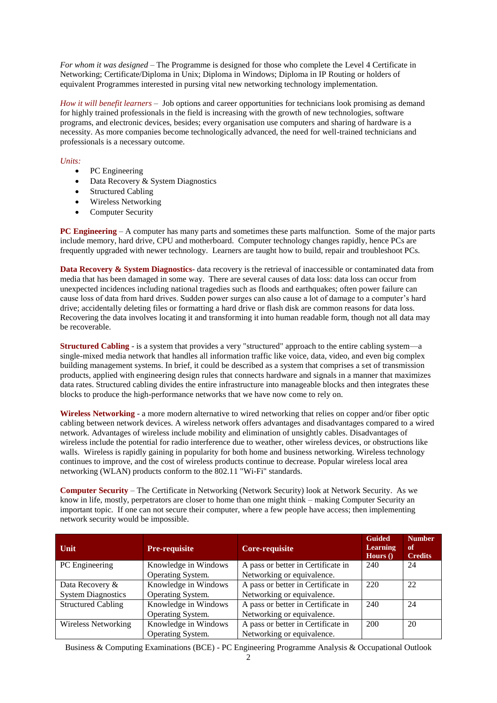*For whom it was designed* – The Programme is designed for those who complete the Level 4 Certificate in Networking; Certificate/Diploma in Unix; Diploma in Windows; Diploma in IP Routing or holders of equivalent Programmes interested in pursing vital new networking technology implementation.

*How it will benefit learners* – Job options and career opportunities for technicians look promising as demand for highly trained professionals in the field is increasing with the growth of new technologies, software programs, and electronic devices, besides; every organisation use computers and sharing of hardware is a necessity. As more companies become technologically advanced, the need for well-trained technicians and professionals is a necessary outcome.

## *Units:*

- PC Engineering
- Data Recovery & System Diagnostics
- Structured Cabling
- Wireless Networking
- Computer Security

**PC Engineering** – A computer has many parts and sometimes these parts malfunction. Some of the major parts include memory, hard drive, CPU and motherboard. Computer technology changes rapidly, hence PCs are frequently upgraded with newer technology. Learners are taught how to build, repair and troubleshoot PCs.

**Data Recovery & System Diagnostics**- data recovery is the retrieval of inaccessible or contaminated data from media that has been damaged in some way. There are several causes of data loss: data loss can occur from unexpected incidences including national tragedies such as floods and earthquakes; often power failure can cause loss of data from hard drives. Sudden power surges can also cause a lot of damage to a computer's hard drive; accidentally deleting files or formatting a hard drive or flash disk are common reasons for data loss. Recovering the data involves locating it and transforming it into human readable form, though not all data may be recoverable.

**Structured Cabling** - is a system that provides a very "structured" approach to the entire cabling system—a single-mixed media network that handles all information traffic like voice, data, video, and even big complex building management systems. In brief, it could be described as a system that comprises a set of transmission products, applied with engineering design rules that connects hardware and signals in a manner that maximizes data rates. Structured cabling divides the entire infrastructure into manageable blocks and then integrates these blocks to produce the high-performance networks that we have now come to rely on.

**Wireless Networking** - a more modern alternative to wired networking that relies on copper and/or fiber optic cabling between network devices. A wireless network offers advantages and disadvantages compared to a wired network. Advantages of wireless include mobility and elimination of unsightly cables. Disadvantages of wireless include the potential for radio interference due to weather, other wireless devices, or obstructions like walls. Wireless is rapidly gaining in popularity for both home and business networking. Wireless technology continues to improve, and the cost of wireless products continue to decrease. Popular wireless local area networking (WLAN) products conform to the 802.11 "Wi-Fi" standards.

**Computer Security** – The Certificate in Networking (Network Security) look at Network Security. As we know in life, mostly, perpetrators are closer to home than one might think – making Computer Security an important topic. If one can not secure their computer, where a few people have access; then implementing network security would be impossible.

| Unit                                         | <b>Pre-requisite</b>                      | Core-requisite                                                   | <b>Guided</b><br><b>Learning</b><br>Hours $()$ | <b>Number</b><br>of<br><b>Credits</b> |
|----------------------------------------------|-------------------------------------------|------------------------------------------------------------------|------------------------------------------------|---------------------------------------|
| PC Engineering                               | Knowledge in Windows<br>Operating System. | A pass or better in Certificate in<br>Networking or equivalence. | 240                                            | 24                                    |
| Data Recovery &<br><b>System Diagnostics</b> | Knowledge in Windows<br>Operating System. | A pass or better in Certificate in<br>Networking or equivalence. | 220                                            | 22                                    |
| <b>Structured Cabling</b>                    | Knowledge in Windows<br>Operating System. | A pass or better in Certificate in<br>Networking or equivalence. | 240                                            | 24                                    |
| <b>Wireless Networking</b>                   | Knowledge in Windows<br>Operating System. | A pass or better in Certificate in<br>Networking or equivalence. | 200                                            | 20                                    |

Business & Computing Examinations (BCE) - PC Engineering Programme Analysis & Occupational Outlook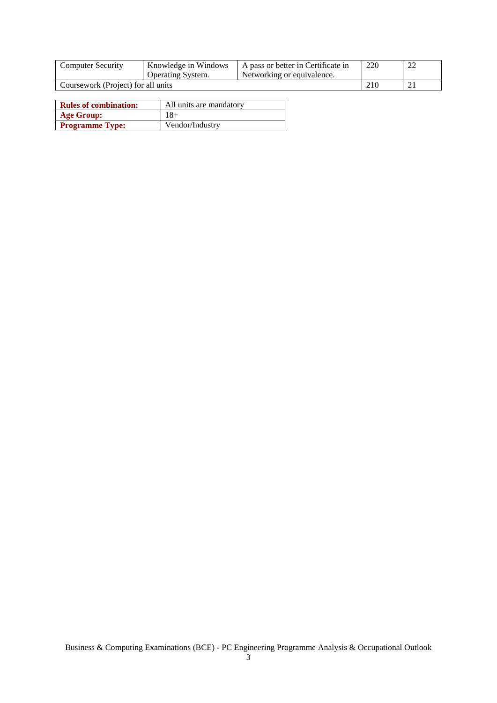| <b>Computer Security</b>           | Knowledge in Windows     | A pass or better in Certificate in | 220 |  |
|------------------------------------|--------------------------|------------------------------------|-----|--|
|                                    | <b>Operating System.</b> | Networking or equivalence.         |     |  |
| Coursework (Project) for all units |                          |                                    | 210 |  |

| <b>Rules of combination:</b> | All units are mandatory |
|------------------------------|-------------------------|
| <b>Age Group:</b>            | 18+                     |
| <b>Programme Type:</b>       | Vendor/Industry         |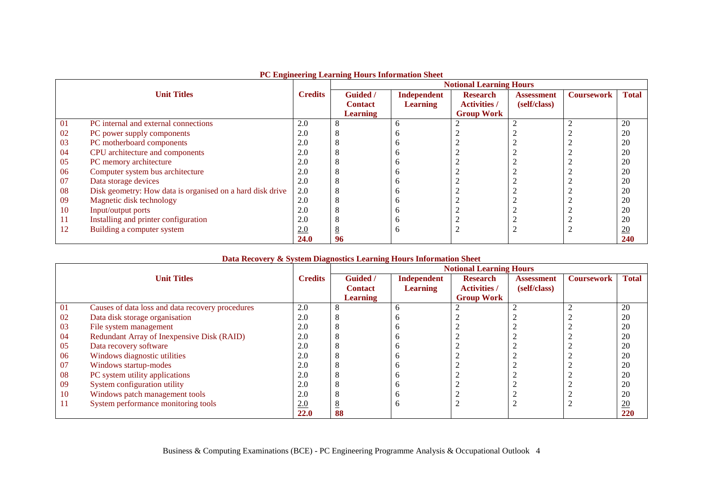|    |                                                           |                | <b>Notional Learning Hours</b> |                    |                     |                   |                   |              |  |
|----|-----------------------------------------------------------|----------------|--------------------------------|--------------------|---------------------|-------------------|-------------------|--------------|--|
|    | <b>Unit Titles</b>                                        | <b>Credits</b> | Guided /                       | <b>Independent</b> | <b>Research</b>     | <b>Assessment</b> | <b>Coursework</b> | <b>Total</b> |  |
|    |                                                           |                | <b>Contact</b>                 | <b>Learning</b>    | <b>Activities</b> / | (self/class)      |                   |              |  |
|    |                                                           |                | <b>Learning</b>                |                    | <b>Group Work</b>   |                   |                   |              |  |
| 01 | PC internal and external connections                      | 2.0            |                                | b                  | ∍                   |                   |                   | 20           |  |
| 02 | PC power supply components                                | 2.0            |                                |                    |                     |                   |                   | 20           |  |
| 03 | PC motherboard components                                 | 2.0            |                                |                    |                     |                   |                   | 20           |  |
| 04 | CPU architecture and components                           | 2.0            |                                | n                  |                     |                   |                   | 20           |  |
| 05 | PC memory architecture                                    | 2.0            |                                |                    |                     |                   |                   | 20           |  |
| 06 | Computer system bus architecture                          | 2.0            |                                |                    |                     |                   |                   | 20           |  |
| 07 | Data storage devices                                      | 2.0            |                                |                    |                     |                   |                   | 20           |  |
| 08 | Disk geometry: How data is organised on a hard disk drive | 2.0            |                                | n                  |                     |                   |                   | 20           |  |
| 09 | Magnetic disk technology                                  | 2.0            |                                |                    |                     |                   |                   | 20           |  |
| 10 | Input/output ports                                        | 2.0            |                                |                    |                     |                   |                   | 20           |  |
| 11 | Installing and printer configuration                      | 2.0            |                                | n                  |                     |                   |                   | 20           |  |
| 12 | Building a computer system                                | 2.0            |                                | <sub>0</sub>       |                     |                   |                   | 20           |  |
|    |                                                           | <b>24.0</b>    | 96                             |                    |                     |                   |                   | 240          |  |

#### **PC Engineering Learning Hours Information Sheet**

## **Data Recovery & System Diagnostics Learning Hours Information Sheet**

Г

|     |                                                  |                | <b>Notional Learning Hours</b> |                    |                     |                   |                   |                  |  |
|-----|--------------------------------------------------|----------------|--------------------------------|--------------------|---------------------|-------------------|-------------------|------------------|--|
|     | <b>Unit Titles</b>                               | <b>Credits</b> | Guided /                       | <b>Independent</b> | <b>Research</b>     | <b>Assessment</b> | <b>Coursework</b> | <b>Total</b>     |  |
|     |                                                  |                | <b>Contact</b>                 | <b>Learning</b>    | <b>Activities</b> / | (self/class)      |                   |                  |  |
|     |                                                  |                | <b>Learning</b>                |                    | <b>Group Work</b>   |                   |                   |                  |  |
| 01  | Causes of data loss and data recovery procedures | 2.0            |                                |                    |                     |                   |                   | 20               |  |
| 02  | Data disk storage organisation                   | 2.0            |                                |                    |                     |                   |                   | 20               |  |
| 03  | File system management                           | 2.0            |                                |                    |                     |                   |                   | 20               |  |
| 04  | Redundant Array of Inexpensive Disk (RAID)       | 2.0            |                                |                    |                     |                   |                   | 20               |  |
| 05  | Data recovery software                           | 2.0            |                                |                    |                     |                   |                   | 20               |  |
| 06  | Windows diagnostic utilities                     | 2.0            |                                |                    |                     |                   |                   | 20               |  |
| 07  | Windows startup-modes                            | 2.0            |                                |                    |                     |                   |                   | 20               |  |
| 08  | PC system utility applications                   | 2.0            |                                |                    |                     |                   |                   | 20               |  |
| -09 | System configuration utility                     | 2.0            |                                |                    |                     |                   |                   | 20               |  |
| 10  | Windows patch management tools                   | 2.0            |                                |                    |                     |                   |                   | 20               |  |
| 11  | System performance monitoring tools              | 2.0            |                                |                    |                     |                   |                   | $\underline{20}$ |  |
|     |                                                  | <b>22.0</b>    | 88                             |                    |                     |                   |                   | 220              |  |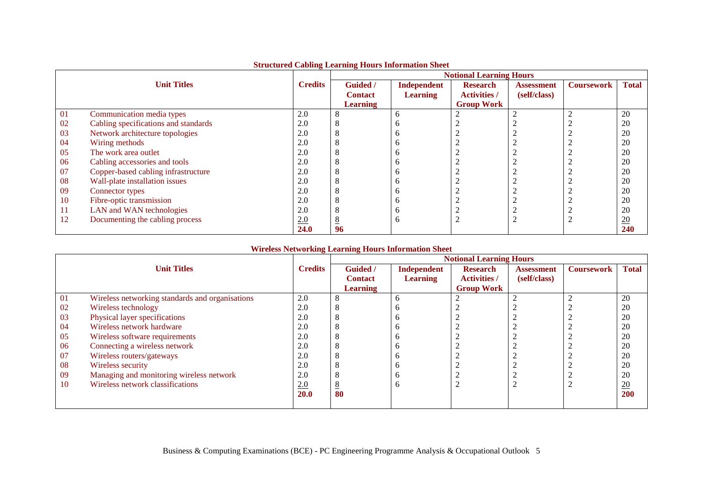|     | su actar cu cubinig munimig mours miorimum sileu |                | <b>Notional Learning Hours</b> |                 |                     |                   |                   |                  |  |
|-----|--------------------------------------------------|----------------|--------------------------------|-----------------|---------------------|-------------------|-------------------|------------------|--|
|     | <b>Unit Titles</b>                               | <b>Credits</b> | <b>Guided</b> /                | Independent     | <b>Research</b>     | <b>Assessment</b> | <b>Coursework</b> | <b>Total</b>     |  |
|     |                                                  |                | <b>Contact</b>                 | <b>Learning</b> | <b>Activities /</b> | (self/class)      |                   |                  |  |
|     |                                                  |                | <b>Learning</b>                |                 | <b>Group Work</b>   |                   |                   |                  |  |
| 01  | Communication media types                        | 2.0            |                                | <sub>0</sub>    |                     |                   |                   | 20               |  |
| 02  | Cabling specifications and standards             | 2.0            |                                |                 |                     |                   |                   | 20               |  |
| 03  | Network architecture topologies                  | 2.0            |                                |                 |                     |                   |                   | 20               |  |
| 04  | Wiring methods                                   | 2.0            |                                |                 |                     |                   |                   | 20               |  |
| 05  | The work area outlet                             | 2.0            |                                | n               |                     |                   |                   | 20               |  |
| 06  | Cabling accessories and tools                    | 2.0            |                                |                 |                     |                   |                   | 20               |  |
| 07  | Copper-based cabling infrastructure              | 2.0            |                                |                 |                     |                   |                   | 20               |  |
| 08  | Wall-plate installation issues                   | 2.0            |                                |                 |                     |                   |                   | 20               |  |
| 09  | Connector types                                  | 2.0            |                                | n               |                     |                   |                   | 20               |  |
| 10  | Fibre-optic transmission                         | 2.0            |                                |                 |                     |                   |                   | 20               |  |
| -11 | LAN and WAN technologies                         | 2.0            |                                |                 |                     |                   |                   | 20               |  |
| 12  | Documenting the cabling process                  | 2.0            |                                | Ð               |                     |                   |                   | $\underline{20}$ |  |
|     |                                                  | 24.0           | 96                             |                 |                     |                   |                   | 240              |  |

## **Structured Cabling Learning Hours Information Sheet**

## **Wireless Networking Learning Hours Information Sheet**

|    |                                                 |                | <b>Notional Learning Hours</b> |                 |                     |                   |                   |              |  |
|----|-------------------------------------------------|----------------|--------------------------------|-----------------|---------------------|-------------------|-------------------|--------------|--|
|    | <b>Unit Titles</b>                              | <b>Credits</b> | <b>Guided</b> /                | Independent     | <b>Research</b>     | <b>Assessment</b> | <b>Coursework</b> | <b>Total</b> |  |
|    |                                                 |                | <b>Contact</b>                 | <b>Learning</b> | <b>Activities</b> / | (self/class)      |                   |              |  |
|    |                                                 |                | <b>Learning</b>                |                 | <b>Group Work</b>   |                   |                   |              |  |
| 01 | Wireless networking standards and organisations | 2.0            |                                | h               | ◠                   |                   |                   | 20           |  |
| 02 | Wireless technology                             | 2.0            |                                |                 |                     |                   |                   | 20           |  |
| 03 | Physical layer specifications                   | 2.0            |                                |                 |                     |                   |                   | 20           |  |
| 04 | Wireless network hardware                       | 2.0            |                                |                 |                     |                   |                   | 20           |  |
| 05 | Wireless software requirements                  | 2.0            |                                |                 |                     |                   |                   | 20           |  |
| 06 | Connecting a wireless network                   | 2.0            |                                |                 |                     |                   |                   | 20           |  |
| 07 | Wireless routers/gateways                       | 2.0            |                                |                 |                     |                   |                   | 20           |  |
| 08 | Wireless security                               | 2.0            |                                |                 |                     |                   |                   | 20           |  |
| 09 | Managing and monitoring wireless network        | 2.0            |                                |                 |                     |                   |                   | 20           |  |
| 10 | Wireless network classifications                | 2.0            |                                | n               | ◠                   |                   |                   | 20           |  |
|    |                                                 | <b>20.0</b>    | 80                             |                 |                     |                   |                   | 200          |  |
|    |                                                 |                |                                |                 |                     |                   |                   |              |  |